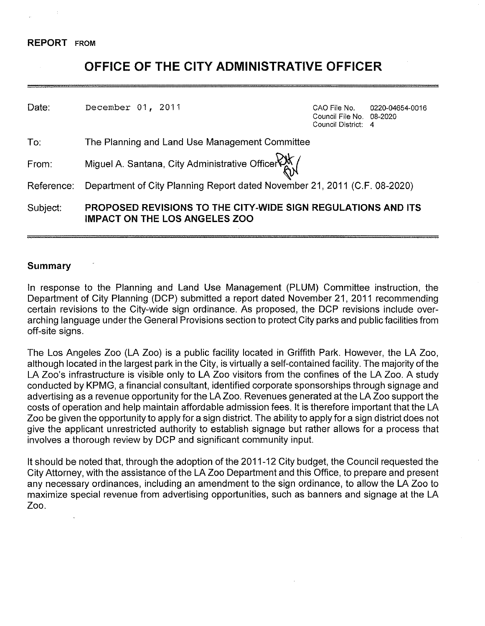### **REPORT** FROM

# **OFFICE OF THE CITY ADMINISTRATIVE OFFICER**

| Date:      | December 01, 2011                                                                                           | CAO File No.<br>Council File No. 08-2020<br>Council District: 4 | 0220-04654-0016 |
|------------|-------------------------------------------------------------------------------------------------------------|-----------------------------------------------------------------|-----------------|
| To:        | The Planning and Land Use Management Committee                                                              |                                                                 |                 |
| From:      | Miguel A. Santana, City Administrative Officer RX                                                           |                                                                 |                 |
| Reference: | Department of City Planning Report dated November 21, 2011 (C.F. 08-2020)                                   |                                                                 |                 |
| Subject:   | <b>PROPOSED REVISIONS TO THE CITY-WIDE SIGN REGULATIONS AND ITS</b><br><b>IMPACT ON THE LOS ANGELES ZOO</b> |                                                                 |                 |

## **Summary**

In response to the Planning and Land Use Management (PLUM) Committee instruction, the Department of City Planning (DCP) submitted a report dated November 21, 2011 recommending certain revisions to the City-wide sign ordinance. As proposed, the DCP revisions include overarching language under the General Provisions section to protect City parks and public facilities from off-site signs.

The Los Angeles Zoo (LA Zoo) is a public facility located in Griffith Park. However, the LA Zoo, although located in the largest park in the City, is virtually a self-contained facility. The majority of the LA Zoo's infrastructure is visible only to LA Zoo visitors from the confines of the LA Zoo. A study conducted by KPMG, a financial consultant, identified corporate sponsorships through signage and advertising as a revenue opportunity for the LA Zoo. Revenues generated at the LA Zoo support the costs of operation and help maintain affordable admission fees. It is therefore important that the LA Zoo be given the opportunity to apply for a sign district. The ability to apply for a sign district does not give the applicant unrestricted authority to establish signage but rather allows for a process that involves a thorough review by DCP and significant community input.

It should be noted that, through the adoption of the 2011-12 City budget, the Council requested the City Attorney, with the assistance of the LA Zoo Department and this Office, to prepare and present any necessary ordinances, including an amendment to the sign ordinance, to allow the LA Zoo to maximize special revenue from advertising opportunities, such as banners and signage at the LA Zoo.